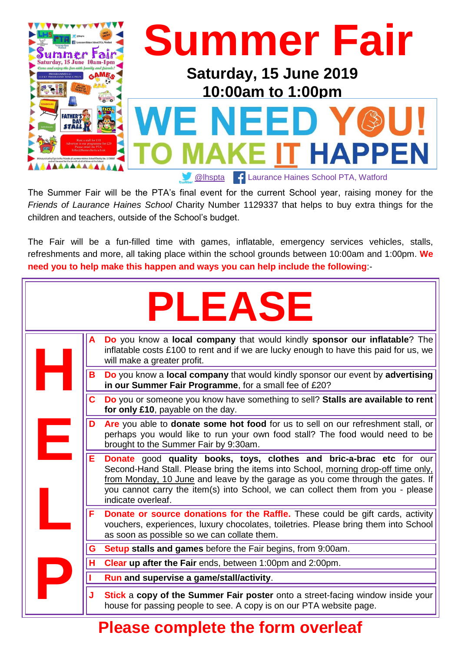

The Summer Fair will be the PTA's final event for the current School year, raising money for the *Friends of Laurance Haines School* Charity Number 1129337 that helps to buy extra things for the children and teachers, outside of the School's budget.

The Fair will be a fun-filled time with games, inflatable, emergency services vehicles, stalls, refreshments and more, all taking place within the school grounds between 10:00am and 1:00pm. **We need you to help make this happen and ways you can help include the following**:-

| <b>PLEASE</b> |                                                                                                                                                                                                                                                                                                                                                            |  |
|---------------|------------------------------------------------------------------------------------------------------------------------------------------------------------------------------------------------------------------------------------------------------------------------------------------------------------------------------------------------------------|--|
|               | Do you know a local company that would kindly sponsor our inflatable? The<br>A<br>inflatable costs £100 to rent and if we are lucky enough to have this paid for us, we<br>will make a greater profit.                                                                                                                                                     |  |
|               | B<br>Do you know a local company that would kindly sponsor our event by advertising<br>in our Summer Fair Programme, for a small fee of £20?                                                                                                                                                                                                               |  |
|               | C.<br>Do you or someone you know have something to sell? Stalls are available to rent<br>for only £10, payable on the day.                                                                                                                                                                                                                                 |  |
| Ε             | Are you able to donate some hot food for us to sell on our refreshment stall, or<br>D<br>perhaps you would like to run your own food stall? The food would need to be<br>brought to the Summer Fair by 9:30am.                                                                                                                                             |  |
|               | Е<br>Donate good quality books, toys, clothes and bric-a-brac etc for our<br>Second-Hand Stall. Please bring the items into School, morning drop-off time only,<br>from Monday, 10 June and leave by the garage as you come through the gates. If<br>you cannot carry the item(s) into School, we can collect them from you - please<br>indicate overleaf. |  |
|               | F<br>Donate or source donations for the Raffle. These could be gift cards, activity<br>vouchers, experiences, luxury chocolates, toiletries. Please bring them into School<br>as soon as possible so we can collate them.                                                                                                                                  |  |
|               | G<br><b>Setup stalls and games</b> before the Fair begins, from 9:00am.                                                                                                                                                                                                                                                                                    |  |
|               | н<br>Clear up after the Fair ends, between 1:00pm and 2:00pm.                                                                                                                                                                                                                                                                                              |  |
|               | Run and supervise a game/stall/activity.                                                                                                                                                                                                                                                                                                                   |  |
|               | J<br><b>Stick a copy of the Summer Fair poster</b> onto a street-facing window inside your<br>house for passing people to see. A copy is on our PTA website page.                                                                                                                                                                                          |  |

## **Please complete the form overleaf**